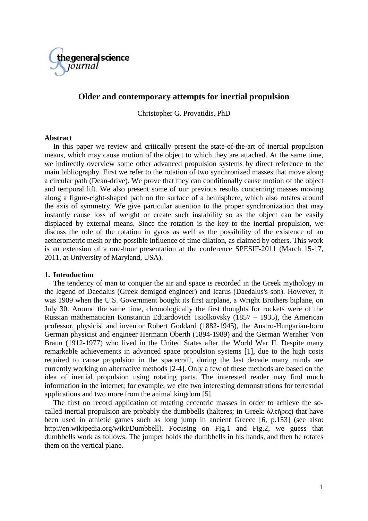

# **Older and contemporary attempts for inertial propulsion**

Christopher G. Provatidis, PhD

### **Abstract**

In this paper we review and critically present the state-of-the-art of inertial propulsion means, which may cause motion of the object to which they are attached. At the same time, we indirectly overview some other advanced propulsion systems by direct reference to the main bibliography. First we refer to the rotation of two synchronized masses that move along a circular path (Dean-drive). We prove that they can conditionally cause motion of the object and temporal lift. We also present some of our previous results concerning masses moving along a figure-eight-shaped path on the surface of a hemisphere, which also rotates around the axis of symmetry. We give particular attention to the proper synchronization that may instantly cause loss of weight or create such instability so as the object can be easily displaced by external means. Since the rotation is the key to the inertial propulsion, we discuss the role of the rotation in gyros as well as the possibility of the existence of an aetherometric mesh or the possible influence of time dilation, as claimed by others. This work is an extension of a one-hour presentation at the conference SPESIF-2011 (March 15-17, 2011, at University of Maryland, USA).

## **1. Introduction**

The tendency of man to conquer the air and space is recorded in the Greek mythology in the legend of Daedalus (Greek demigod engineer) and Icarus (Daedalus's son). However, it was 1909 when the U.S. Government bought its first airplane, a Wright Brothers biplane, on July 30. Around the same time, chronologically the first thoughts for rockets were of the Russian mathematician Konstantin Eduardovich Tsiolkovsky (1857 – 1935), the American professor, physicist and inventor Robert Goddard (1882-1945), the Austro-Hungarian-born German physicist and engineer Hermann Oberth (1894-1989) and the German Wernher Von Braun (1912-1977) who lived in the United States after the World War II. Despite many remarkable achievements in advanced space propulsion systems [1], due to the high costs required to cause propulsion in the spacecraft, during the last decade many minds are currently working on alternative methods [2-4]. Only a few of these methods are based on the idea of inertial propulsion using rotating parts. The interested reader may find much information in the internet; for example, we cite two interesting demonstrations for terrestrial applications and two more from the animal kingdom [5].

The first on record application of rotating eccentric masses in order to achieve the socalled inertial propulsion are probably the dumbbells (halteres; in Greek: ἁλτῆρες) that have been used in athletic games such as long jump in ancient Greece [6, p.153] (see also: http://en.wikipedia.org/wiki/Dumbbell). Focusing on Fig.1 and Fig.2, we guess that dumbbells work as follows. The jumper holds the dumbbells in his hands, and then he rotates them on the vertical plane.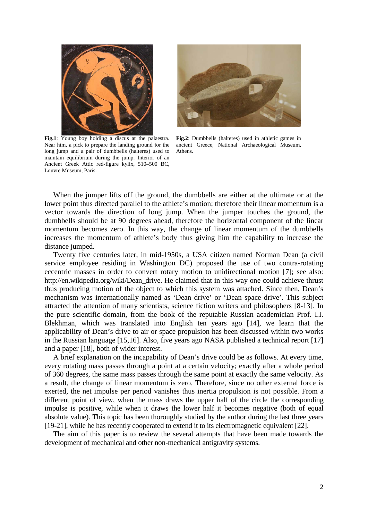

**Fig.1**: Young boy holding a [discus](http://en.wikipedia.org/wiki/Discus) at the [palaestra.](http://en.wikipedia.org/wiki/Palaestra) Near him, a pick to prepare the landing ground for the long jump and a pair of dumbbells [\(halteres\)](http://en.wikipedia.org/wiki/Halteres_%28ancient_Greece%29) used to maintain equilibrium during the jump. Interior of an [Ancient Greek](http://en.wikipedia.org/wiki/Ancient_Greece) Attic [red-figure](http://en.wikipedia.org/wiki/Red-figure_pottery) [kylix,](http://en.wikipedia.org/wiki/Kylix_%28drinking_cup%29) 510–500 BC, [Louvre](http://en.wikipedia.org/wiki/Louvre) Museum, Paris.



**Fig.2**: Dumbbells [\(halteres\)](http://en.wikipedia.org/wiki/Halteres_%28ancient_Greece%29) used in athletic games in ancient Greece, [National Archaeological Museum,](http://en.wikipedia.org/wiki/National_Archaeological_Museum,_Athens)  [Athens.](http://en.wikipedia.org/wiki/National_Archaeological_Museum,_Athens)

When the jumper lifts off the ground, the dumbbells are either at the ultimate or at the lower point thus directed parallel to the athlete's motion; therefore their linear momentum is a vector towards the direction of long jump. When the jumper touches the ground, the dumbbells should be at 90 degrees ahead, therefore the horizontal component of the linear momentum becomes zero. In this way, the change of linear momentum of the dumbbells increases the momentum of athlete's body thus giving him the capability to increase the distance jumped.

Twenty five centuries later, in mid-1950s, a USA citizen named Norman Dean (a civil service employee residing in Washington DC) proposed the use of two contra-rotating eccentric masses in order to convert rotary motion to unidirectional motion [7]; see also: http://en.wikipedia.org/wiki/Dean\_drive. He claimed that in this way one could achieve thrust thus producing motion of the object to which this system was attached. Since then, Dean's mechanism was internationally named as 'Dean drive' or 'Dean space drive'. This subject attracted the attention of many scientists, science fiction writers and philosophers [8-13]. In the pure scientific domain, from the book of the reputable Russian academician Prof. I.I. Blekhman, which was translated into English ten years ago [14], we learn that the applicability of Dean's drive to air or space propulsion has been discussed within two works in the Russian language [15,16]. Also, five years ago NASA published a technical report [17] and a paper [18], both of wider interest.

A brief explanation on the incapability of Dean's drive could be as follows. At every time, every rotating mass passes through a point at a certain velocity; exactly after a whole period of 360 degrees, the same mass passes through the same point at exactly the same velocity. As a result, the change of linear momentum is zero. Therefore, since no other external force is exerted, the net impulse per period vanishes thus inertia propulsion is not possible. From a different point of view, when the mass draws the upper half of the circle the corresponding impulse is positive, while when it draws the lower half it becomes negative (both of equal absolute value). This topic has been thoroughly studied by the author during the last three years [19-21], while he has recently cooperated to extend it to its electromagnetic equivalent [22].

The aim of this paper is to review the several attempts that have been made towards the development of mechanical and other non-mechanical antigravity systems.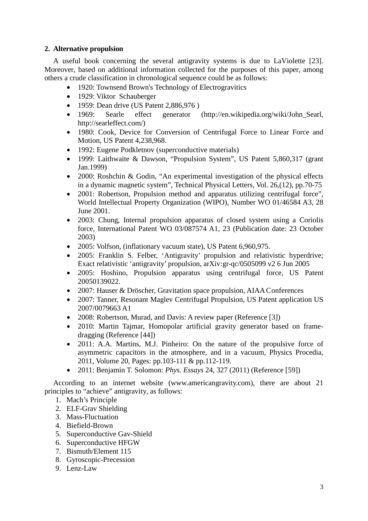## **2. Alternative propulsion**

A useful book concerning the several antigravity systems is due to LaViolette [23]. Moreover, based on additional information collected for the purposes of this paper, among others a crude classification in chronological sequence could be as follows:

- 1920: Townsend Brown's Technology of Electrogravitics
- 1929: Viktor Schauberger
- 1959: Dean drive (US Patent 2,886,976)
- 1969: Searle effect generator (http://en.wikipedia.org/wiki/John Searl, http://searleffect.com/)
- 1980: Cook, Device for Conversion of Centrifugal Force to Linear Force and Motion, US Patent 4,238,968.
- 1992: Eugene Podkletnov (superconductive materials)
- 1999: Laithwaite & Dawson, "Propulsion System", US Patent 5,860,317 (grant Jan.1999)
- 2000: Roshchin & Godin, "An experimental investigation of the physical effects in a dynamic magnetic system", Technical Physical Letters, Vol. 26,(12), pp.70-75
- 2001: Robertson, Propulsion method and apparatus utilizing centrifugal force". World Intellectual Property Organization (WIPO), Number WO 01/46584 A3, 28 June 2001.
- 2003: Chung, Internal propulsion apparatus of closed system using a Coriolis force, International Patent WO 03/087574 A1, 23 (Publication date: 23 October 2003)
- 2005: Volfson, (inflationary vacuum state), US Patent 6,960,975.
- 2005: Franklin S. Felber, 'Antigravity' propulsion and relativistic hyperdrive; Exact relativistic 'antigravity' propulsion, arXiv:gr-qc/0505099 v2 6 Jun 2005
- 2005: Hoshino, Propulsion apparatus using centrifugal force, US Patent 20050139022.
- 2007: Hauser & Dröscher, Gravitation space propulsion, AIAA Conferences
- 2007: Tanner, Resonant Maglev Centrifugal Propulsion, US Patent application US 2007/0079663 A1
- 2008: Robertson, Murad, and Davis: A review paper (Reference [3])
- 2010: Martin Tajmar, Homopolar artificial gravity generator based on framedragging (Reference [44])
- 2011: A.A. Martins, M.J. Pinheiro: On the nature of the propulsive force of asymmetric capacitors in the atmosphere, and in a vacuum, Physics Procedia, 2011, Volume 20, Pages: pp.103-111 & pp.112-119.
- 2011: Benjamin T. Solomon: *Phys. Essays* 24, 327 (2011) (Reference [59])

According to an internet website (www.americangravity.com), there are about 21 principles to "achieve" antigravity, as follows:

- 1. Mach's Principle
- 2. ELF-Grav Shielding
- 3. Mass-Fluctuation
- 4. Biefield-Brown
- 5. Superconductive Gav-Shield
- 6. Superconductive HFGW
- 7. Bismuth/Element 115
- 8. Gyroscopic-Precession
- 9. Lenz-Law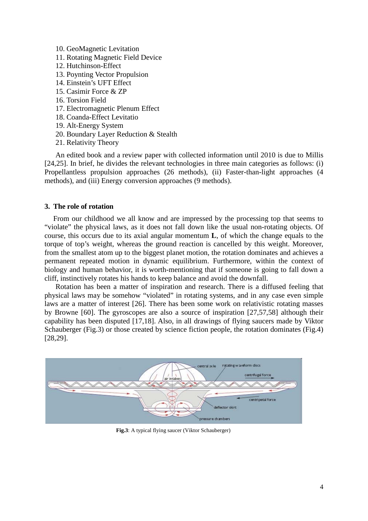- 10. GeoMagnetic Levitation
- 11. Rotating Magnetic Field Device
- 12. Hutchinson-Effect
- 13. Poynting Vector Propulsion
- 14. Einstein's UFT Effect
- 15. Casimir Force & ZP
- 16. Torsion Field
- 17. Electromagnetic Plenum Effect
- 18. Coanda-Effect Levitatio
- 19. Alt-Energy System
- 20. Boundary Layer Reduction & Stealth
- 21. Relativity Theory

An edited book and a review paper with collected information until 2010 is due to Millis [24,25]. In brief, he divides the relevant technologies in three main categories as follows: (i) Propellantless propulsion approaches (26 methods), (ii) Faster-than-light approaches (4 methods), and (iii) Energy conversion approaches (9 methods).

#### **3. The role of rotation**

From our childhood we all know and are impressed by the processing top that seems to "violate" the physical laws, as it does not fall down like the usual non-rotating objects. Of course, this occurs due to its axial angular momentum **L**, of which the change equals to the torque of top's weight, whereas the ground reaction is cancelled by this weight. Moreover, from the smallest atom up to the biggest planet motion, the rotation dominates and achieves a permanent repeated motion in dynamic equilibrium. Furthermore, within the context of biology and human behavior, it is worth-mentioning that if someone is going to fall down a cliff, instinctively rotates his hands to keep balance and avoid the downfall.

Rotation has been a matter of inspiration and research. There is a diffused feeling that physical laws may be somehow "violated" in rotating systems, and in any case even simple laws are a matter of interest [26]. There has been some work on relativistic rotating masses by Browne [60]. The gyroscopes are also a source of inspiration [27,57,58] although their capability has been disputed [17,18]. Also, in all drawings of flying saucers made by Viktor Schauberger (Fig.3) or those created by science fiction people, the rotation dominates (Fig.4) [28,29].



**Fig.3**: A typical flying saucer (Viktor Schauberger)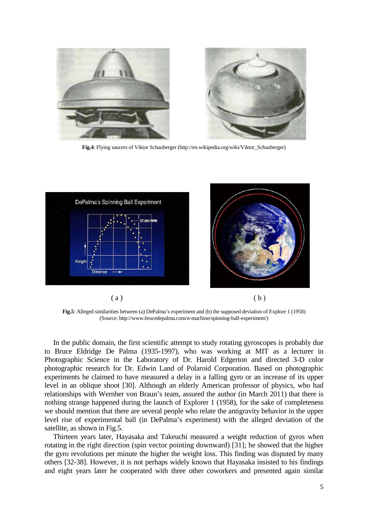

**Fig.4**: Flying saucers of Viktor Schauberger (http://en.wikipedia.org/wiki/Viktor\_Schauberger)



**Fig.5**: Alleged similarities between (a) DePalma's experiment and (b) the supposed deviation of Explore 1 (1958) (Source: http://www.brucedepalma.com/n-machine/spinning-ball-experiment/)

In the public domain, the first scientific attempt to study rotating gyroscopes is probably due to Bruce Eldridge De Palma (1935-1997), who was working at MIT as a lecturer in Photographic Science in the Laboratory of Dr. Harold Edgerton and directed 3-D color photographic research for Dr. Edwin Land of Polaroid Corporation. Based on photographic experiments he claimed to have measured a delay in a falling gyro or an increase of its upper level in an oblique shoot [30]. Although an elderly American professor of physics, who had relationships with Wernher von Braun's team, assured the author (in March 2011) that there is nothing strange happened during the launch of Explorer 1 (1958), for the sake of completeness we should mention that there are several people who relate the antigravity behavior in the upper level rise of experimental ball (in DePalma's experiment) with the alleged deviation of the satellite, as shown in Fig.5.

Thirteen years later, Hayasaka and Takeuchi measured a weight reduction of gyros when rotating in the right direction (spin vector pointing downward) [31]; he showed that the higher the gyro revolutions per minute the higher the weight loss. This finding was disputed by many others [32-38]. However, it is not perhaps widely known that Hayasaka insisted to his findings and eight years later he cooperated with three other coworkers and presented again similar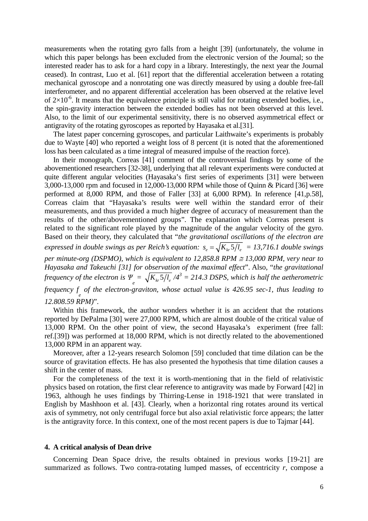measurements when the rotating gyro falls from a height [39] (unfortunately, the volume in which this paper belongs has been excluded from the electronic version of the Journal; so the interested reader has to ask for a hard copy in a library. Interestingly, the next year the Journal ceased). In contrast, Luo et al. [61] report that the differential acceleration between a rotating mechanical gyroscope and a nonrotating one was directly measured by using a double free-fall interferometer, and no apparent differential acceleration has been observed at the relative level of  $2\times10^{-6}$ . It means that the equivalence principle is still valid for rotating extended bodies, i.e., the spin-gravity interaction between the extended bodies has not been observed at this level. Also, to the limit of our experimental sensitivity, there is no observed asymmetrical effect or antigravity of the rotating gyroscopes as reported by Hayasaka et al.[31].

The latest paper concerning gyroscopes, and particular Laithwaite's experiments is probably due to Wayte [40] who reported a weight loss of 8 percent (it is noted that the aforementioned loss has been calculated as a time integral of measured impulse of the reaction force).

In their monograph, Correas [41] comment of the controversial findings by some of the abovementioned researchers [32-38], underlying that all relevant experiments were conducted at quite different angular velocities (Hayasaka's first series of experiments [31] were between 3,000-13,000 rpm and focused in 12,000-13,000 RPM while those of Quinn & Picard [36] were performed at 8,000 RPM, and those of Faller [33] at 6,000 RPM). In reference [41,p.58], Correas claim that "Hayasaka's results were well within the standard error of their measurements, and thus provided a much higher degree of accuracy of measurement than the results of the other/abovementioned groups". The explanation which Correas present is related to the significant role played by the magnitude of the angular velocity of the gyro. Based on their theory, they calculated that "*the gravitational oscillations of the electron are expressed in double swings as per Reich's equation:*  $s_e = \sqrt{K_{12}S/I_e} = 13,716.1$  *double swings per minute-org (DSPMO), which is equivalent to 12,858.8 RPM ≅ 13,000 RPM, very near to Hayasaka and Takeuchi [31] for observation of the maximal effect*". Also, "*the gravitational frequency of the electron is*  $\Psi_e = \sqrt{K_{kr} 5 / l_e}/4^3 = 214.3$  DSPS, which is half the aetherometric *frequency f <sup>e</sup> of the electron-graviton, whose actual value is 426.95 sec-1, thus leading to* 

#### *12.808.59 RPM)*".

Within this framework, the author wonders whether it is an accident that the rotations reported by DePalma [30] were 27,000 RPM, which are almost double of the critical value of 13,000 RPM. On the other point of view, the second Hayasaka's experiment (free fall: ref.[39]) was performed at 18,000 RPM, which is not directly related to the abovementioned 13,000 RPM in an apparent way.

Moreover, after a 12-years research Solomon [59] concluded that time dilation can be the source of gravitation effects. He has also presented the hypothesis that time dilation causes a shift in the center of mass.

For the completeness of the text it is worth-mentioning that in the field of relativistic physics based on rotation, the first clear reference to antigravity was made by Forward [42] in 1963, although he uses findings by Thirring-Lense in 1918-1921 that were translated in English by Mashhoon et al. [43]. Clearly, when a horizontal ring rotates around its vertical axis of symmetry, not only centrifugal force but also axial relativistic force appears; the latter is the antigravity force. In this context, one of the most recent papers is due to Tajmar [44].

#### **4. A critical analysis of Dean drive**

Concerning Dean Space drive, the results obtained in previous works [19-21] are summarized as follows. Two contra-rotating lumped masses, of eccentricity *r*, compose a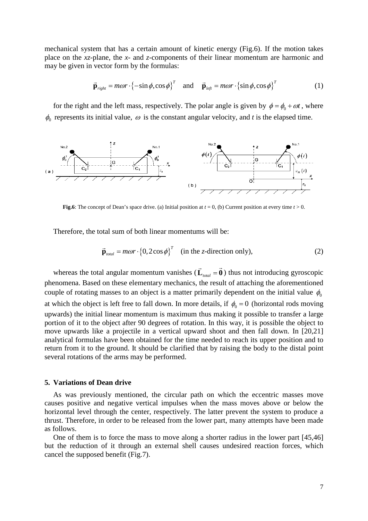mechanical system that has a certain amount of kinetic energy (Fig.6). If the motion takes place on the *xz*-plane, the *x*- and *z*-components of their linear momentum are harmonic and may be given in vector form by the formulas:

$$
\vec{\mathbf{p}}_{right} = m\omega r \cdot \left\{-\sin\phi, \cos\phi\right\}^T \quad \text{and} \quad \vec{\mathbf{p}}_{left} = m\omega r \cdot \left\{\sin\phi, \cos\phi\right\}^T \tag{1}
$$

for the right and the left mass, respectively. The polar angle is given by  $\phi = \phi_0 + \omega t$ , where  $\phi_0$  represents its initial value,  $\omega$  is the constant angular velocity, and *t* is the elapsed time.



**Fig.6**: The concept of Dean's space drive. (a) Initial position at  $t = 0$ , (b) Current position at every time  $t > 0$ .

Therefore, the total sum of both linear momentums will be:

$$
\vec{\mathbf{p}}_{total} = m\omega r \cdot \left\{0, 2\cos\phi\right\}^T \quad \text{(in the z-direction only)},\tag{2}
$$

whereas the total angular momentum vanishes  $(\vec{L}_{total} = \vec{0})$  thus not introducing gyroscopic phenomena. Based on these elementary mechanics, the result of attaching the aforementioned couple of rotating masses to an object is a matter primarily dependent on the initial value  $\phi_0$ at which the object is left free to fall down. In more details, if  $\phi_0 = 0$  (horizontal rods moving upwards) the initial linear momentum is maximum thus making it possible to transfer a large portion of it to the object after 90 degrees of rotation. In this way, it is possible the object to move upwards like a projectile in a vertical upward shoot and then fall down. In [20,21] analytical formulas have been obtained for the time needed to reach its upper position and to return from it to the ground. It should be clarified that by raising the body to the distal point several rotations of the arms may be performed.

#### **5. Variations of Dean drive**

As was previously mentioned, the circular path on which the eccentric masses move causes positive and negative vertical impulses when the mass moves above or below the horizontal level through the center, respectively. The latter prevent the system to produce a thrust. Therefore, in order to be released from the lower part, many attempts have been made as follows.

One of them is to force the mass to move along a shorter radius in the lower part [45,46] but the reduction of it through an external shell causes undesired reaction forces, which cancel the supposed benefit (Fig.7).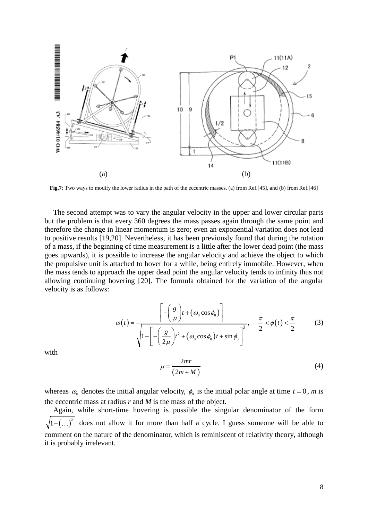

**Fig.7**: Two ways to modify the lower radius in the path of the eccentric masses. (a) from Ref.[45], and (b) from Ref.[46]

The second attempt was to vary the angular velocity in the upper and lower circular parts but the problem is that every 360 degrees the mass passes again through the same point and therefore the change in linear momentum is zero; even an exponential variation does not lead to positive results [19,20]. Nevertheless, it has been previously found that during the rotation of a mass, if the beginning of time measurement is a little after the lower dead point (the mass goes upwards), it is possible to increase the angular velocity and achieve the object to which the propulsive unit is attached to hover for a while, being entirely immobile. However, when the mass tends to approach the upper dead point the angular velocity tends to infinity thus not allowing continuing hovering [20]. The formula obtained for the variation of the angular velocity is as follows:

$$
\omega(t) = \frac{\left[ -\left(\frac{g}{\mu}\right)t + \left(\omega_0 \cos \phi_0\right) \right]}{\sqrt{1 - \left[ -\left(\frac{g}{2\mu}\right)t^2 + \left(\omega_0 \cos \phi_0\right)t + \sin \phi_0 \right]^2}}, \quad -\frac{\pi}{2} < \phi(t) < \frac{\pi}{2}
$$
(3)

with

$$
\mu = \frac{2mr}{(2m+M)}
$$
\n(4)

whereas  $\omega_0$  denotes the initial angular velocity,  $\phi_0$  is the initial polar angle at time  $t = 0$ , *m* is the eccentric mass at radius *r* and *M* is the mass of the object.

Again, while short-time hovering is possible the singular denominator of the form  $(1-(...)^2)$  does not allow it for more than half a cycle. I guess someone will be able to comment on the nature of the denominator, which is reminiscent of relativity theory, although it is probably irrelevant.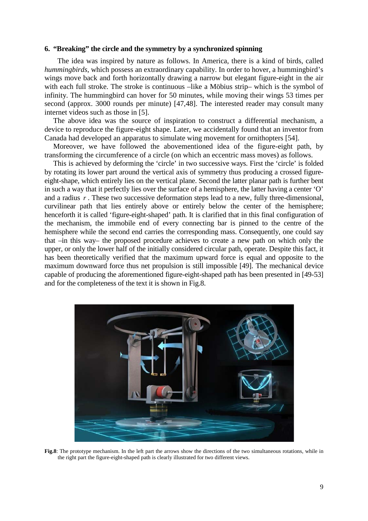#### **6. "Breaking" the circle and the symmetry by a synchronized spinning**

The idea was inspired by nature as follows. In America, there is a kind of birds, called *hummingbirds*, which possess an extraordinary capability. In order to hover, a hummingbird's wings move back and forth horizontally drawing a narrow but elegant figure-eight in the air with each full stroke. The stroke is continuous –like a Möbius strip– which is the symbol of infinity. The hummingbird can hover for 50 minutes, while moving their wings 53 times per second (approx. 3000 rounds per minute) [47,48]. The interested reader may consult many internet videos such as those in [5].

The above idea was the source of inspiration to construct a differential mechanism, a device to reproduce the figure-eight shape. Later, we accidentally found that an inventor from Canada had developed an apparatus to simulate wing movement for ornithopters [54].

Moreover, we have followed the abovementioned idea of the figure-eight path, by transforming the circumference of a circle (on which an eccentric mass moves) as follows.

This is achieved by deforming the 'circle' in two successive ways. First the 'circle' is folded by rotating its lower part around the vertical axis of symmetry thus producing a crossed figureeight-shape, which entirely lies on the vertical plane. Second the latter planar path is further bent in such a way that it perfectly lies over the surface of a hemisphere, the latter having a center 'O' and a radius r. These two successive deformation steps lead to a new, fully three-dimensional, curvilinear path that lies entirely above or entirely below the center of the hemisphere; henceforth it is called 'figure-eight-shaped' path. It is clarified that in this final configuration of the mechanism, the immobile end of every connecting bar is pinned to the centre of the hemisphere while the second end carries the corresponding mass. Consequently, one could say that –in this way– the proposed procedure achieves to create a new path on which only the upper, or only the lower half of the initially considered circular path, operate. Despite this fact, it has been theoretically verified that the maximum upward force is equal and opposite to the maximum downward force thus net propulsion is still impossible [49]. The mechanical device capable of producing the aforementioned figure-eight-shaped path has been presented in [49-53] and for the completeness of the text it is shown in Fig.8.



**Fig.8**: The prototype mechanism. In the left part the arrows show the directions of the two simultaneous rotations, while in the right part the figure-eight-shaped path is clearly illustrated for two different views.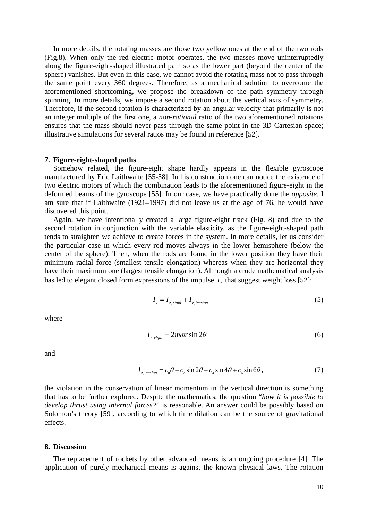In more details, the rotating masses are those two yellow ones at the end of the two rods (Fig.8). When only the red electric motor operates, the two masses move uninterruptedly along the figure-eight-shaped illustrated path so as the lower part (beyond the center of the sphere) vanishes. But even in this case, we cannot avoid the rotating mass not to pass through the same point every 360 degrees. Therefore, as a mechanical solution to overcome the aforementioned shortcoming**,** we propose the breakdown of the path symmetry through spinning. In more details, we impose a second rotation about the vertical axis of symmetry. Therefore, if the second rotation is characterized by an angular velocity that primarily is not an integer multiple of the first one, a *non-rational* ratio of the two aforementioned rotations ensures that the mass should never pass through the same point in the 3D Cartesian space; illustrative simulations for several ratios may be found in reference [52].

#### **7. Figure-eight-shaped paths**

Somehow related, the figure-eight shape hardly appears in the flexible gyroscope manufactured by Eric Laithwaite [55-58]. In his construction one can notice the existence of two electric motors of which the combination leads to the aforementioned figure-eight in the deformed beams of the gyroscope [55]. In our case, we have practically done the *opposite*. I am sure that if Laithwaite (1921–1997) did not leave us at the age of 76, he would have discovered this point.

Again, we have intentionally created a large figure-eight track (Fig. 8) and due to the second rotation in conjunction with the variable elasticity, as the figure-eight-shaped path tends to straighten we achieve to create forces in the system. In more details, let us consider the particular case in which every rod moves always in the lower hemisphere (below the center of the sphere). Then, when the rods are found in the lower position they have their minimum radial force (smallest tensile elongation) whereas when they are horizontal they have their maximum one (largest tensile elongation). Although a crude mathematical analysis has led to elegant closed form expressions of the impulse  $I<sub>z</sub>$  that suggest weight loss [52]:

$$
I_z = I_{z, rigid} + I_{z, tension}
$$
 (5)

where

$$
I_{z, rigid} = 2m\omega r \sin 2\theta \tag{6}
$$

and

$$
I_{z, tension} = c_0 \theta + c_2 \sin 2\theta + c_4 \sin 4\theta + c_6 \sin 6\theta, \qquad (7)
$$

the violation in the conservation of linear momentum in the vertical direction is something that has to be further explored. Despite the mathematics, the question "*how it is possible to develop thrust using internal forces?*" is reasonable. An answer could be possibly based on Solomon's theory [59], according to which time dilation can be the source of gravitational effects.

#### **8. Discussion**

The replacement of rockets by other advanced means is an ongoing procedure [4]. The application of purely mechanical means is against the known physical laws. The rotation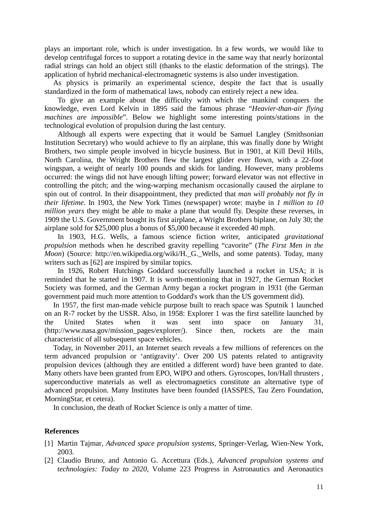plays an important role, which is under investigation. In a few words, we would like to develop centrifugal forces to support a rotating device in the same way that nearly horizontal radial strings can hold an object still (thanks to the elastic deformation of the strings). The application of hybrid mechanical-electromagnetic systems is also under investigation.

As physics is primarily an experimental science, despite the fact that is usually standardized in the form of mathematical laws, nobody can entirely reject a new idea.

To give an example about the difficulty with which the mankind conquers the knowledge, even Lord Kelvin in 1895 said the famous phrase "*Heavier-than-air flying machines are impossible*". Below we highlight some interesting points/stations in the technological evolution of propulsion during the last century.

Although all experts were expecting that it would be Samuel Langley (Smithsonian Institution Secretary) who would achieve to fly an airplane, this was finally done by Wright Brothers, two simple people involved in bicycle business. But in 1901, at Kill Devil Hills, North Carolina, the Wright Brothers flew the largest glider ever flown, with a 22-foot wingspan, a weight of nearly 100 pounds and skids for landing. However, many problems occurred: the wings did not have enough lifting power; forward elevator was not effective in controlling the pitch; and the wing-warping mechanism occasionally caused the airplane to spin out of control. In their disappointment, they predicted that *man will probably not fly in their lifetime*. In 1903, the New York Times (newspaper) wrote: maybe in *1 million to 10 million years* they might be able to make a plane that would fly. Despite these reverses, in 1909 the U.S. Government bought its first airplane, a Wright Brothers biplane, on July 30; the airplane sold for \$25,000 plus a bonus of \$5,000 because it exceeded 40 mph.

In 1903, H.G. Wells, a famous science fiction writer, anticipated *gravitational propulsion* methods when he described gravity repelling "cavorite" (*The First Men in the Moon*) (Source: http://en.wikipedia.org/wiki/H.\_G.\_Wells, and some patents). Today, many writers such as [62] are inspired by similar topics.

In 1926, Robert Hutchings Goddard successfully launched a rocket in USA; it is reminded that he started in 1907. It is worth-mentioning that in 1927, the German Rocket Society was formed, and the German Army began a rocket program in 1931 (the German government paid much more attention to Goddard's work than the US government did).

In 1957, the first man-made vehicle purpose built to reach space was Sputnik 1 launched on an R-7 rocket by the USSR. Also, in 1958: Explorer 1 was the first satellite launched by the United States when it was sent into space on January 31, (http://www.nasa.gov/mission\_pages/explore[r/\)](http://www.nasa.gov/mission_pages/explorer/). Since then, rockets are the main characteristic of all subsequent space vehicles.

Today, in November 2011, an Internet search reveals a few millions of references on the term advanced propulsion or 'antigravity'. Over 200 US patents related to antigravity propulsion devices (although they are entitled a different word) have been granted to date. Many others have been granted from EPO, WIPO and others. Gyroscopes, Ion/Hall thrusters , superconductive materials as well as electromagnetics constitute an alternative type of advanced propulsion. Many Institutes have been founded (IASSPES, Tau Zero Foundation, MorningStar, et cetera).

In conclusion, the death of Rocket Science is only a matter of time.

## **References**

- [1] Martin Tajmar, *Advanced space propulsion systems*, Springer-Verlag, Wien-New York, 2003.
- [2] Claudio Bruno, and Antonio G. Accettura (Eds.), *Advanced propulsion systems and technologies: Today to 2020*, Volume 223 Progress in Astronautics and Aeronautics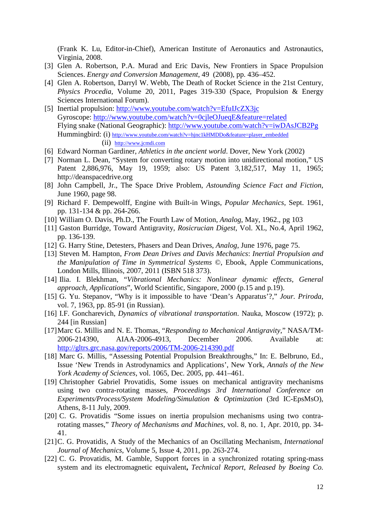(Frank K. Lu, Editor-in-Chief), American Institute of Aeronautics and Astronautics, Virginia, 2008.

- [3] Glen A. Robertson, P.A. Murad and Eric Davis, New Frontiers in Space Propulsion Sciences. *Energy and Conversion Management*, 49 (2008), pp. 436–452.
- [4] Glen A. Robertson, Darryl W. Webb, The Death of Rocket Science in the 21st Century, *Physics Procedia*, Volume 20, 2011, Pages 319-330 (Space, Propulsion & Energy Sciences International Forum).
- [5] Inertial propulsion: http://www.youtube.com/watch?v=EfuIJcZX3jc Gyroscope:<http://www.youtube.com/watch?v=0cjleOJueqE&feature=related> Flying snake (National Geographic):<http://www.youtube.com/watch?v=iwDAsJCB2Pg> Hummingbird: (i) [http://www.youtube.com/watch?v=hjnc1kHMDDo&feature=player\\_embedded](http://www.youtube.com/watch?v=hjnc1kHMDDo&feature=player_embedded) (ii) [http://www.jcmdi.com](http://www.jcmdi.com/)
- [6] Edward Norman Gardiner, *Athletics in the ancient world*. Dover, New York (2002)
- [7] Norman L. Dean, "System for converting rotary motion into unidirectional motion," US Patent 2,886,976, May 19, 1959; also: US Patent 3,182,517, May 11, 1965; http://deanspacedrive.org
- [8] John Campbell, Jr., The Space Drive Problem, *Astounding Science Fact and Fiction*, June 1960, page 98.
- [9] Richard F. Dempewolff, Engine with Built-in Wings, *Popular Mechanics*, Sept. 1961, pp. 131-134 & pp. 264-266.
- [10] William O. Davis, Ph.D., The Fourth Law of Motion, *Analog*, May, 1962., pg 103
- [11] Gaston Burridge, Toward Antigravity, *Rosicrucian Digest*, Vol. XL, No.4, April 1962, pp. 136-139.
- [12] G. Harry Stine, Detesters, Phasers and Dean Drives, *Analog*, June 1976, page 75.
- [13] Steven M. Hampton, *From Dean Drives and Davis Mechanics*: *Inertial Propulsion and the Manipulation of Time in Symmetrical Systems* ©, Ebook, Apple Communications, London Mills, Illinois, 2007, 2011 (ISBN 518 373).
- [14] Ilia. I. Blekhman, "*Vibrational Mechanics: Nonlinear dynamic effects, General approach, Applications*", World Scientific, Singapore, 2000 (p.15 and p.19).
- [15] G. Yu. Stepanov, "Why is it impossible to have 'Dean's Apparatus'?," *Jour. Priroda*, vol. 7, 1963, pp. 85-91 (in Russian).
- [16] I.F. Goncharevich, *Dynamics of vibrational transportation*. Nauka, Moscow (1972); p. 244 [in Russian]
- [17]Marc G. Millis and N. E. Thomas, "*Responding to Mechanical Antigravity*," NASA/TM-2006-214390, AIAA-2006-4913, December 2006. Available at: <http://gltrs.grc.nasa.gov/reports/2006/TM-2006-214390.pdf>
- [18] Marc G. Millis, "Assessing Potential Propulsion Breakthroughs," In: E. Belbruno, Ed., Issue 'New Trends in Astrodynamics and Applications', New York, *Annals of the New York Academy of Sciences*, vol. 1065, Dec. 2005, pp. 441–461.
- [19] Christopher Gabriel Provatidis, Some issues on mechanical antigravity mechanisms using two contra-rotating masses, *Proceedings 3rd International Conference on Experiments/Process/System Modeling/Simulation & Optimization* (3rd IC-EpsMsO), Athens, 8-11 July, 2009.
- [20] C. G. Provatidis "Some issues on inertia propulsion mechanisms using two contrarotating masses," *Theory of Mechanisms and Machines*, vol. 8, no. 1, Apr. 2010, pp. 34- 41.
- [21]C. G. Provatidis, A Study of the Mechanics of an Oscillating Mechanism, *International Journal of Mechanics*, Volume 5, Issue 4, 2011, pp. 263-274.
- [22] C. G. Provatidis, M. Gamble, Support forces in a synchronized rotating spring-mass system and its electromagnetic equivalent**,** *Technical Report*, *Released by Boeing Co.*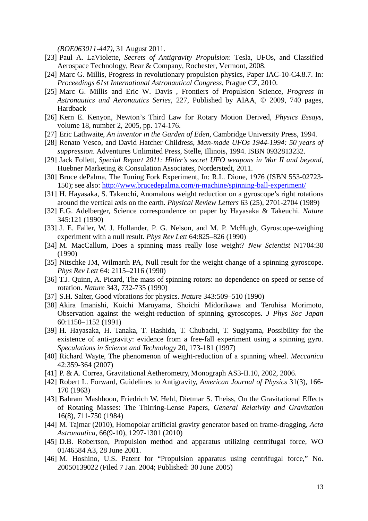*(BOE063011-447)*, 31 August 2011.

- [23] Paul A. LaViolette, *Secrets of Antigravity Propulsion*: Tesla, UFOs, and Classified Aerospace Technology, Bear & Company, Rochester, Vermont, 2008.
- [24] Marc G. Millis, Progress in revolutionary propulsion physics, Paper IAC-10-C4.8.7. In: *Proceedings 61st International Astronautical Congress*, Prague CZ, 2010.
- [25] Marc G. Millis and Eric W. Davis , Frontiers of Propulsion Science, *Progress in Astronautics and Aeronautics Series*, 227, Published by AIAA, © 2009, 740 pages, Hardback
- [26] Kern E. Kenyon, Newton's Third Law for Rotary Motion Derived, *Physics Essays*, volume 18, number 2, 2005, pp. 174-176.
- [27] Eric Lathwaite, *An inventor in the Garden of Eden*, Cambridge University Press, 1994.
- [28] Renato Vesco, and David Hatcher Childress, *Man-made UFOs 1944-1994: 50 years of suppression*. Adventures Unlimited Press, Stelle, Illinois, 1994. ISBN 0932813232.
- [29] Jack Follett, *Special Report 2011: Hitler's secret UFO weapons in War II and beyond*, Huebner Marketing & Consulation Associates, Norderstedt, 2011.
- [30] Bruce dePalma, The Tuning Fork Experiment, In: R.L. Dione, 1976 (ISBN 553-02723-150); see also:<http://www.brucedepalma.com/n-machine/spinning-ball-experiment/>
- [31] H. Hayasaka, S. Takeuchi, Anomalous weight reduction on a gyroscope's right rotations around the vertical axis on the earth. *Physical Review Letters* 63 (25), 2701-2704 (1989)
- [32] E.G. Adelberger, Science correspondence on paper by Hayasaka & Takeuchi. *Nature* 345:121 (1990)
- [33] J. E. Faller, [W. J. Hollander,](http://publish.aps.org/search/field/author/Hollander_W_J) [P. G. Nelson,](http://publish.aps.org/search/field/author/Nelson_P_G) and [M. P. McHugh,](http://publish.aps.org/search/field/author/McHugh_M_P) Gyroscope-weighing experiment with a null result. *Phys Rev Lett* 64:825–826 (1990)
- [34] M. MacCallum, Does a spinning mass really lose weight? *New Scientist* N1704:30 (1990)
- [35] Nitschke JM, Wilmarth PA, Null result for the weight change of a spinning gyroscope. *Phys Rev Lett* 64: 2115–2116 (1990)
- [36] T.J. Quinn, A. Picard, The mass of spinning rotors: no dependence on speed or sense of rotation. *Nature* 343, 732-735 (1990)
- [37] S.H. Salter, Good vibrations for physics. *Nature* 343:509–510 (1990)
- [38] Akira Imanishi, Koichi Maruyama, [Shoichi Midorikawa a](http://jpsj.ipap.jp/cgi-bin/findarticle?journal=JPSJ&author=S%2EMidorikawa)nd [Teruhisa Morimoto,](http://jpsj.ipap.jp/cgi-bin/findarticle?journal=JPSJ&author=T%2EMorimoto) Observation against the weight-reduction of spinning gyroscopes. *J Phys Soc Japan* 60:1150–1152 (1991)
- [39] H. Hayasaka, H. Tanaka, T. Hashida, T. Chubachi, T. Sugiyama, Possibility for the existence of anti-gravity: evidence from a free-fall experiment using a spinning gyro. *Speculations in Science and Technology* 20, 173-181 (1997)
- [40] Richard Wayte, The phenomenon of weight-reduction of a spinning wheel. *Meccanica* 42:359-364 (2007)
- [41] P. & A. Correa, Gravitational Aetherometry, Monograph AS3-II.10, 2002, 2006.
- [42] Robert L. Forward, Guidelines to Antigravity, *American Journal of Physics* 31(3), 166- 170 (1963)
- [43] Bahram Mashhoon, Friedrich W. Hehl, Dietmar S. Theiss, On the Gravitational Effects of Rotating Masses: The Thirring-Lense Papers, *General Relativity and Gravitation* 16(8), 711-750 (1984)
- [44] M. Tajmar (2010), Homopolar artificial gravity generator based on frame-dragging, *Acta Astronautica*, 66(9-10), 1297-1301 (2010)
- [45] D.B. Robertson, Propulsion method and apparatus utilizing centrifugal force, WO 01/46584 A3, 28 June 2001.
- [46] M. Hoshino, U.S. Patent for "Propulsion apparatus using centrifugal force," No. 20050139022 (Filed 7 Jan. 2004; Published: 30 June 2005)